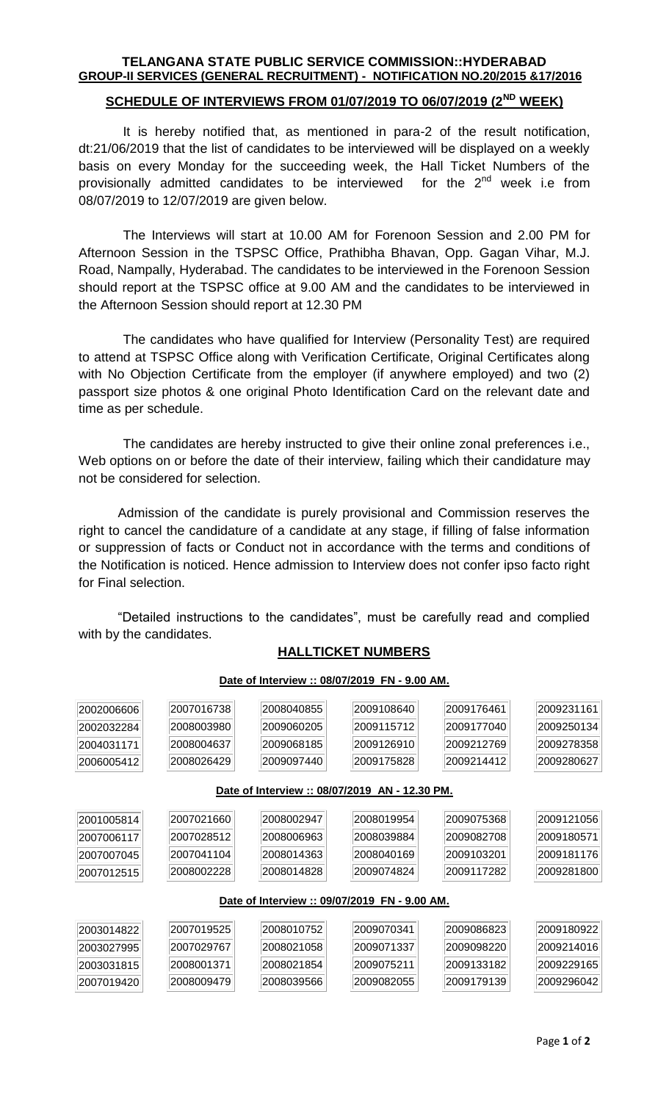### **TELANGANA STATE PUBLIC SERVICE COMMISSION::HYDERABAD GROUP-II SERVICES (GENERAL RECRUITMENT) - NOTIFICATION NO.20/2015 &17/2016**

## **SCHEDULE OF INTERVIEWS FROM 01/07/2019 TO 06/07/2019 (2ND WEEK)**

It is hereby notified that, as mentioned in para-2 of the result notification, dt:21/06/2019 that the list of candidates to be interviewed will be displayed on a weekly basis on every Monday for the succeeding week, the Hall Ticket Numbers of the provisionally admitted candidates to be interviewed for the 2<sup>nd</sup> week i.e from 08/07/2019 to 12/07/2019 are given below.

The Interviews will start at 10.00 AM for Forenoon Session and 2.00 PM for Afternoon Session in the TSPSC Office, Prathibha Bhavan, Opp. Gagan Vihar, M.J. Road, Nampally, Hyderabad. The candidates to be interviewed in the Forenoon Session should report at the TSPSC office at 9.00 AM and the candidates to be interviewed in the Afternoon Session should report at 12.30 PM

The candidates who have qualified for Interview (Personality Test) are required to attend at TSPSC Office along with Verification Certificate, Original Certificates along with No Objection Certificate from the employer (if anywhere employed) and two (2) passport size photos & one original Photo Identification Card on the relevant date and time as per schedule.

The candidates are hereby instructed to give their online zonal preferences i.e., Web options on or before the date of their interview, failing which their candidature may not be considered for selection.

Admission of the candidate is purely provisional and Commission reserves the right to cancel the candidature of a candidate at any stage, if filling of false information or suppression of facts or Conduct not in accordance with the terms and conditions of the Notification is noticed. Hence admission to Interview does not confer ipso facto right for Final selection.

"Detailed instructions to the candidates", must be carefully read and complied with by the candidates.

## **HALLTICKET NUMBERS**

| 2002006606                                     | 2007016738 | 2008040855 | 2009108640 | 2009176461 | 2009231161 |  |  |  |  |
|------------------------------------------------|------------|------------|------------|------------|------------|--|--|--|--|
| 2002032284                                     | 2008003980 | 2009060205 | 2009115712 | 2009177040 | 2009250134 |  |  |  |  |
| 2004031171                                     | 2008004637 | 2009068185 | 2009126910 | 2009212769 | 2009278358 |  |  |  |  |
| 2006005412                                     | 2008026429 | 2009097440 | 2009175828 | 2009214412 | 2009280627 |  |  |  |  |
| Date of Interview :: 08/07/2019 AN - 12.30 PM. |            |            |            |            |            |  |  |  |  |
| 2001005814                                     | 2007021660 | 2008002947 | 2008019954 | 2009075368 | 2009121056 |  |  |  |  |
| 2007006117                                     | 2007028512 | 2008006963 | 2008039884 | 2009082708 | 2009180571 |  |  |  |  |
| 2007007045                                     | 2007041104 | 2008014363 | 2008040169 | 2009103201 | 2009181176 |  |  |  |  |
| 2007012515                                     | 2008002228 | 2008014828 | 2009074824 | 2009117282 | 2009281800 |  |  |  |  |
| Date of Interview :: 09/07/2019 FN - 9.00 AM.  |            |            |            |            |            |  |  |  |  |
| 2003014822                                     | 2007019525 | 2008010752 | 2009070341 | 2009086823 | 2009180922 |  |  |  |  |
| 2003027995                                     | 2007029767 | 2008021058 | 2009071337 | 2009098220 | 2009214016 |  |  |  |  |
| 2003031815                                     | 2008001371 | 2008021854 | 2009075211 | 2009133182 | 2009229165 |  |  |  |  |
| 2007019420                                     | 2008009479 | 2008039566 | 2009082055 | 2009179139 | 2009296042 |  |  |  |  |

#### **Date of Interview :: 08/07/2019 FN - 9.00 AM.**